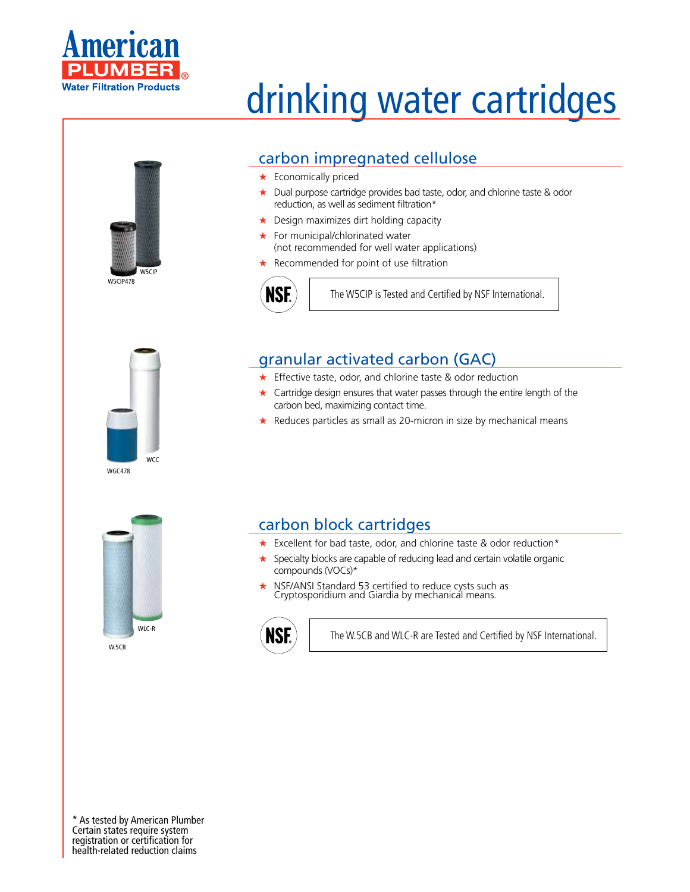

# W5CIP478 W5CIP

## drinking water cartridges

### carbon impregnated cellulose

- ★ Economically priced
- ★ Dual purpose cartridge provides bad taste, odor, and chlorine taste & odor reduction, as well as sediment filtration\*
- ★ Design maximizes dirt holding capacity
- ★ For municipal/chlorinated water (not recommended for well water applications)
- ★ Recommended for point of use filtration



The W5CIP is Tested and Certified by NSF International.

#### granular activated carbon (GAC)

- ★ Effective taste, odor, and chlorine taste & odor reduction
- $\star$  Cartridge design ensures that water passes through the entire length of the carbon bed, maximizing contact time.
- ★ Reduces particles as small as 20-micron in size by mechanical means



WGC478

**WCC** 

W<sub>5CB</sub>

#### carbon block cartridges

- ★ Excellent for bad taste, odor, and chlorine taste & odor reduction\*
- ★ Specialty blocks are capable of reducing lead and certain volatile organic compounds (VOCs)\*
- NSF/ANSI Standard 53 certified to reduce cysts such as Cryptosporidium and Giardia by mechanical means.



The W.5CB and WLC-R are Tested and Certified by NSF International.